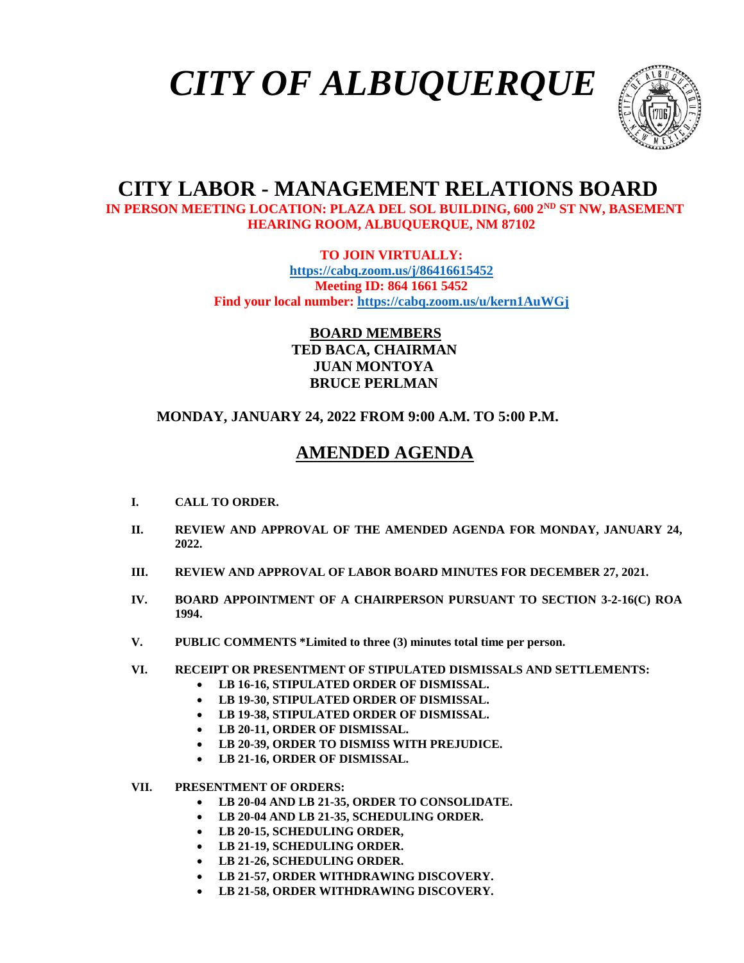# *CITY OF ALBUQUERQUE*



## **CITY LABOR - MANAGEMENT RELATIONS BOARD**

 **IN PERSON MEETING LOCATION: PLAZA DEL SOL BUILDING, 600 2ND ST NW, BASEMENT HEARING ROOM, ALBUQUERQUE, NM 87102**

**TO JOIN VIRTUALLY:**

**<https://cabq.zoom.us/j/86416615452> Meeting ID: 864 1661 5452 Find your local number:<https://cabq.zoom.us/u/kern1AuWGj>**

> **BOARD MEMBERS TED BACA, CHAIRMAN JUAN MONTOYA BRUCE PERLMAN**

#### **MONDAY, JANUARY 24, 2022 FROM 9:00 A.M. TO 5:00 P.M.**

### **AMENDED AGENDA**

- **I. CALL TO ORDER.**
- **II. REVIEW AND APPROVAL OF THE AMENDED AGENDA FOR MONDAY, JANUARY 24, 2022.**
- **III. REVIEW AND APPROVAL OF LABOR BOARD MINUTES FOR DECEMBER 27, 2021.**
- **IV. BOARD APPOINTMENT OF A CHAIRPERSON PURSUANT TO SECTION 3-2-16(C) ROA 1994.**
- **V. PUBLIC COMMENTS \*Limited to three (3) minutes total time per person.**
- **VI. RECEIPT OR PRESENTMENT OF STIPULATED DISMISSALS AND SETTLEMENTS:**
	- **LB 16-16, STIPULATED ORDER OF DISMISSAL.**
	- **LB 19-30, STIPULATED ORDER OF DISMISSAL.**
	- **LB 19-38, STIPULATED ORDER OF DISMISSAL.**
	- **LB 20-11, ORDER OF DISMISSAL.**
	- **LB 20-39, ORDER TO DISMISS WITH PREJUDICE.**
	- **LB 21-16, ORDER OF DISMISSAL.**
- **VII. PRESENTMENT OF ORDERS:**
	- **LB 20-04 AND LB 21-35, ORDER TO CONSOLIDATE.**
	- **LB 20-04 AND LB 21-35, SCHEDULING ORDER.**
	- **LB 20-15, SCHEDULING ORDER,**
	- **LB 21-19, SCHEDULING ORDER.**
	- **LB 21-26, SCHEDULING ORDER.**
	- **LB 21-57, ORDER WITHDRAWING DISCOVERY.**
	- **LB 21-58, ORDER WITHDRAWING DISCOVERY.**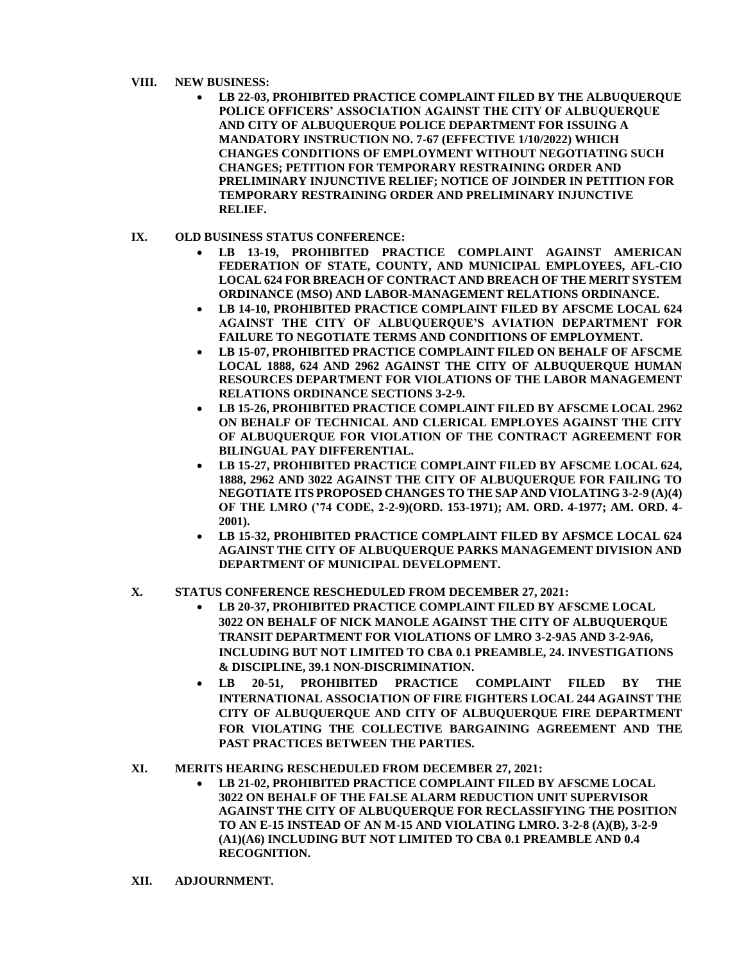#### **VIII. NEW BUSINESS:**

- **LB 22-03, PROHIBITED PRACTICE COMPLAINT FILED BY THE ALBUQUERQUE POLICE OFFICERS' ASSOCIATION AGAINST THE CITY OF ALBUQUERQUE AND CITY OF ALBUQUERQUE POLICE DEPARTMENT FOR ISSUING A MANDATORY INSTRUCTION NO. 7-67 (EFFECTIVE 1/10/2022) WHICH CHANGES CONDITIONS OF EMPLOYMENT WITHOUT NEGOTIATING SUCH CHANGES; PETITION FOR TEMPORARY RESTRAINING ORDER AND PRELIMINARY INJUNCTIVE RELIEF; NOTICE OF JOINDER IN PETITION FOR TEMPORARY RESTRAINING ORDER AND PRELIMINARY INJUNCTIVE RELIEF.**
- **IX. OLD BUSINESS STATUS CONFERENCE:**
	- **LB 13-19, PROHIBITED PRACTICE COMPLAINT AGAINST AMERICAN FEDERATION OF STATE, COUNTY, AND MUNICIPAL EMPLOYEES, AFL-CIO LOCAL 624 FOR BREACH OF CONTRACT AND BREACH OF THE MERIT SYSTEM ORDINANCE (MSO) AND LABOR-MANAGEMENT RELATIONS ORDINANCE.**
	- **LB 14-10, PROHIBITED PRACTICE COMPLAINT FILED BY AFSCME LOCAL 624 AGAINST THE CITY OF ALBUQUERQUE'S AVIATION DEPARTMENT FOR FAILURE TO NEGOTIATE TERMS AND CONDITIONS OF EMPLOYMENT.**
	- **LB 15-07, PROHIBITED PRACTICE COMPLAINT FILED ON BEHALF OF AFSCME LOCAL 1888, 624 AND 2962 AGAINST THE CITY OF ALBUQUERQUE HUMAN RESOURCES DEPARTMENT FOR VIOLATIONS OF THE LABOR MANAGEMENT RELATIONS ORDINANCE SECTIONS 3-2-9.**
	- **LB 15-26, PROHIBITED PRACTICE COMPLAINT FILED BY AFSCME LOCAL 2962 ON BEHALF OF TECHNICAL AND CLERICAL EMPLOYES AGAINST THE CITY OF ALBUQUERQUE FOR VIOLATION OF THE CONTRACT AGREEMENT FOR BILINGUAL PAY DIFFERENTIAL.**
	- **LB 15-27, PROHIBITED PRACTICE COMPLAINT FILED BY AFSCME LOCAL 624, 1888, 2962 AND 3022 AGAINST THE CITY OF ALBUQUERQUE FOR FAILING TO NEGOTIATE ITS PROPOSED CHANGES TO THE SAP AND VIOLATING 3-2-9 (A)(4) OF THE LMRO ('74 CODE, 2-2-9)(ORD. 153-1971); AM. ORD. 4-1977; AM. ORD. 4- 2001).**
	- **LB 15-32, PROHIBITED PRACTICE COMPLAINT FILED BY AFSMCE LOCAL 624 AGAINST THE CITY OF ALBUQUERQUE PARKS MANAGEMENT DIVISION AND DEPARTMENT OF MUNICIPAL DEVELOPMENT.**

#### **X. STATUS CONFERENCE RESCHEDULED FROM DECEMBER 27, 2021:**

- **LB 20-37, PROHIBITED PRACTICE COMPLAINT FILED BY AFSCME LOCAL 3022 ON BEHALF OF NICK MANOLE AGAINST THE CITY OF ALBUQUERQUE TRANSIT DEPARTMENT FOR VIOLATIONS OF LMRO 3-2-9A5 AND 3-2-9A6, INCLUDING BUT NOT LIMITED TO CBA 0.1 PREAMBLE, 24. INVESTIGATIONS & DISCIPLINE, 39.1 NON-DISCRIMINATION.**
- **LB 20-51, PROHIBITED PRACTICE COMPLAINT FILED BY THE INTERNATIONAL ASSOCIATION OF FIRE FIGHTERS LOCAL 244 AGAINST THE CITY OF ALBUQUERQUE AND CITY OF ALBUQUERQUE FIRE DEPARTMENT FOR VIOLATING THE COLLECTIVE BARGAINING AGREEMENT AND THE PAST PRACTICES BETWEEN THE PARTIES.**

#### **XI. MERITS HEARING RESCHEDULED FROM DECEMBER 27, 2021:**

- **LB 21-02, PROHIBITED PRACTICE COMPLAINT FILED BY AFSCME LOCAL 3022 ON BEHALF OF THE FALSE ALARM REDUCTION UNIT SUPERVISOR AGAINST THE CITY OF ALBUQUERQUE FOR RECLASSIFYING THE POSITION TO AN E-15 INSTEAD OF AN M-15 AND VIOLATING LMRO. 3-2-8 (A)(B), 3-2-9 (A1)(A6) INCLUDING BUT NOT LIMITED TO CBA 0.1 PREAMBLE AND 0.4 RECOGNITION.**
- **XII. ADJOURNMENT.**